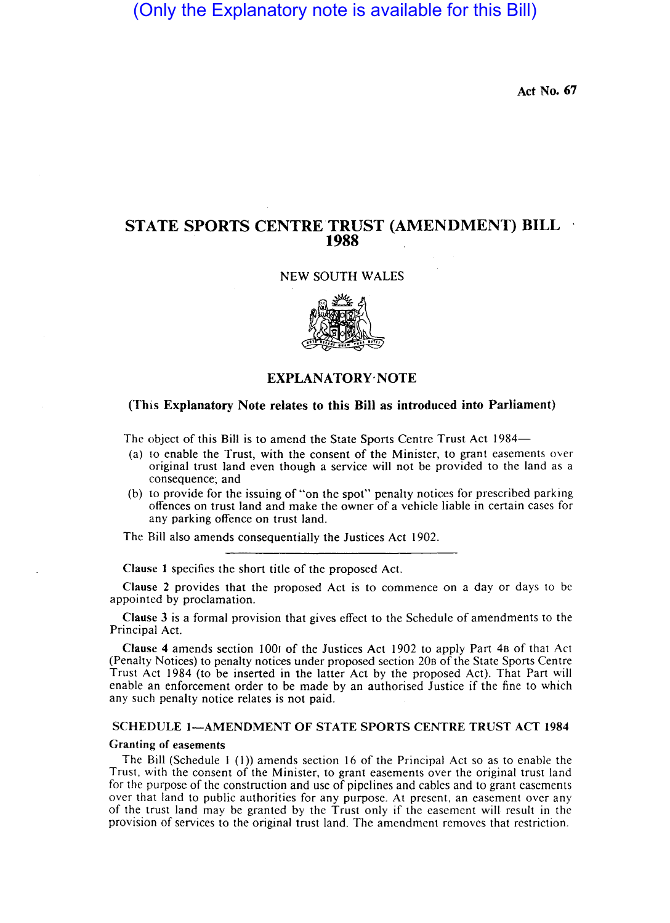# (Only the Explanatory note is available for this Bill)

Act No. 67

# STATE SPORTS CENTRE TRUST (AMENDMENT) BILL 1988

NEW SOUTH WALES



## EXPLANATORY NOTE

### (This Explanatory Note relates to this Bill as introduced into Parliament)

The object of this Bill is to amend the State Sports Centre Trust Act 1984-

- (a) to enable the Trust, with the consent of the Minister, to grant easements over original trust land even though a service will not be provided to the land as a consequence; and
- (b) to provide for the issuing of "on the spot" penalty notices for prescribed parking offences on trust land and make the owner of a vehicle liable in certain cases for any parking offence on trust land.

The Bill also amends consequentially the Justices Act 1902.

Clause I specifies the short title of the proposed Act.

Clause 2 provides that the proposed Act is to commence on a day or days to be appointed by proclamation.

Clause 3 is a formal provision that gives effect to the Schedule of amendments to the Principal Act.

Clause 4 amends section lOO, of the Justices Act 1902 to apply Part 4B of that Act (Penalty Notices) to penalty notices under proposed section 20B of the State Sports Centre Trust Act 1984 (to be inserted in the latter Act by the proposed Act). That Part will enable an enforcement order to be made by an authorised Justice if the fine to which any such penalty notice relates is not paid.

#### SCHEDULE I-AMENDMENT OF STATE SPORTS CENTRE TRUST ACT 1984

#### Granting of easements

The Bill (Schedule  $1$  (1)) amends section 16 of the Principal Act so as to enable the Trust, with the consent of the Minister, to grant easements over the original trust land for the purpose of the construction and use of pipelines and cables and to grant casements over that land to public authorities for any purpose. At present, an easement over any of the trust land may be granted by the Trust only if the casement will result in the provision of services to the original trust land. The amendment removes that restriction.